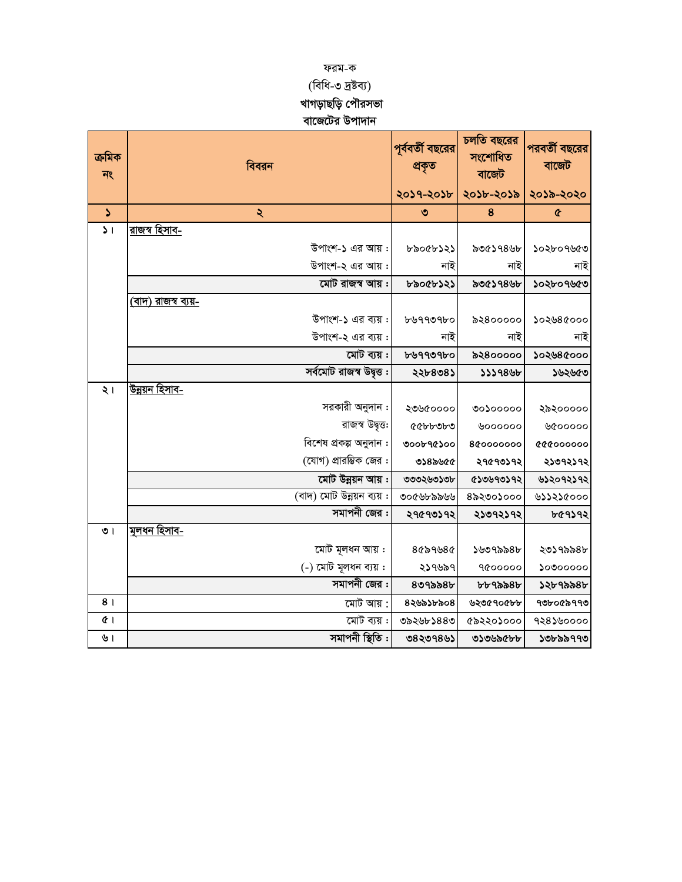### ফরম-ক *(wewa-3 `ªóe¨)* খাগড়াছড়ি পৌরসভা বাজেটের উপাদান

| ক্ৰমিক<br>নং          | বিবরন                      | পূর্ববর্তী বছরের<br>প্ৰকৃত | চলতি বছরের<br>সংশোধিত<br>বাজেট | পরবর্তী বছরের<br>বাজেট |
|-----------------------|----------------------------|----------------------------|--------------------------------|------------------------|
|                       |                            | ২০১৭-২০১৮                  | ২০১৮-২০১৯                      | ২০১৯-২০২০              |
| $\blacktriangleright$ | ২                          | ৩                          | 8                              | ¢                      |
| $\sqrt{ }$            | <u>রাজস্ব হিসাব-</u>       |                            |                                |                        |
|                       | উপাংশ-১ এর আয় :           | ৮৯০৫৮১২১                   | ৯৩৫১৭৪৬৮                       | ১০২৮০৭৬৫৩              |
|                       | উপাংশ-২ এর আয়:            | নাই                        | নাই                            | নাই                    |
|                       | মোট রাজস্ব আয়:            | ৮৯০৫৮১২১                   | ৯৩৫১৭৪৬৮                       | ১০২৮০৭৬৫৩              |
|                       | <u>(বাদ) রাজস্ব ব্যয়-</u> |                            |                                |                        |
|                       | উপাংশ-১ এর ব্যয়:          | ৳৬৭৭৩৭৮০                   | ৯২৪০০০০০                       | ১০২৬৪৫০০০              |
|                       | উপাংশ-২ এর ব্যয়:          | নাই                        | নাই                            | নাই                    |
|                       | মোট ব্যয়:                 | <b>৮৬৭৭৩৭৮০</b>            | ৯২৪০০০০০                       | ১০২৬৪৫০০০              |
|                       | সৰ্বমোট রাজস্ব উদ্বৃত্ত:   | ২২৮৪৩৪১                    | <b>১১১৭৪৬৮</b>                 | ১৬২৬৫৩                 |
| ২।                    | <u>উন্নয়ন হিসাব-</u>      |                            |                                |                        |
|                       | সরকারী অনুদান:             | ২৩৬৫০০০০                   | ৩০১০০০০০                       | ২৯২০০০০০               |
|                       | রাজস্ব উদ্বত্ত:            | ccbbobo                    | ৬০০০০০                         | ৬৫০০০০০                |
|                       | বিশেষ প্ৰকল্প অনুদান:      | ৩০০৮৭৫১০০                  | 800000000                      | 000000999              |
|                       | (যোগ) প্রারম্ভিক জের:      | ৩১৪৯৬৫৫                    | ২৭৫৭৩১৭২                       | ২১৩৭২১৭২               |
|                       | মোট উন্নয়ন আয়:           | ৩৩৩২৬৩১৩৮                  | ৫১৩৬৭৩১৭২                      | ৬১২০৭২১৭২              |
|                       | (বাদ) মোট উন্নয়ন ব্যয়:   | ৩০৫৬৮৯৯৬৬                  | ৪৯২৩০১০০০                      | ৩১১২১৫০০০              |
|                       | সমাপনী জের :               | ২৭৫৭৩১৭২                   | ২১৩৭২১৭২                       | ৮৫৭১৭২                 |
| $\circ$               | মূলধন হিসাব-               |                            |                                |                        |
|                       | মোট মূলধন আয়:             | 8629986                    | ১৬৩৭৯৯৪৮                       | ২৩১৭৯৯৪৮               |
|                       | (-) মোট মূলধন ব্যয়:       | ২১৭৬৯৭                     | 9000000                        | 50000000               |
|                       | সমাপনী জের :               | $809$ da8b                 | ৮৮৭৯৯৪৮                        | ১২৮৭৯৯৪৮               |
| 8 <sub>1</sub>        | মোট আয় :                  | ৪২৬৯১৮৯০৪                  | ৬২৩৫৭০৫৮৮                      | ঀ৩৮০৫৯৭৭৩              |
| $\sigma$              | মোট ব্যয় :                | ৩৯২৬৮১৪৪৩                  | ৫৯২২০১০০০                      | ৭২৪১৬০০০০              |
| ৬।                    | সমাপনী স্থিতি :            | ৩৪২৩৭৪৬১                   | ৩১৩৬৯৫৮৮                       | ১৩৮৯৯৭৭৩               |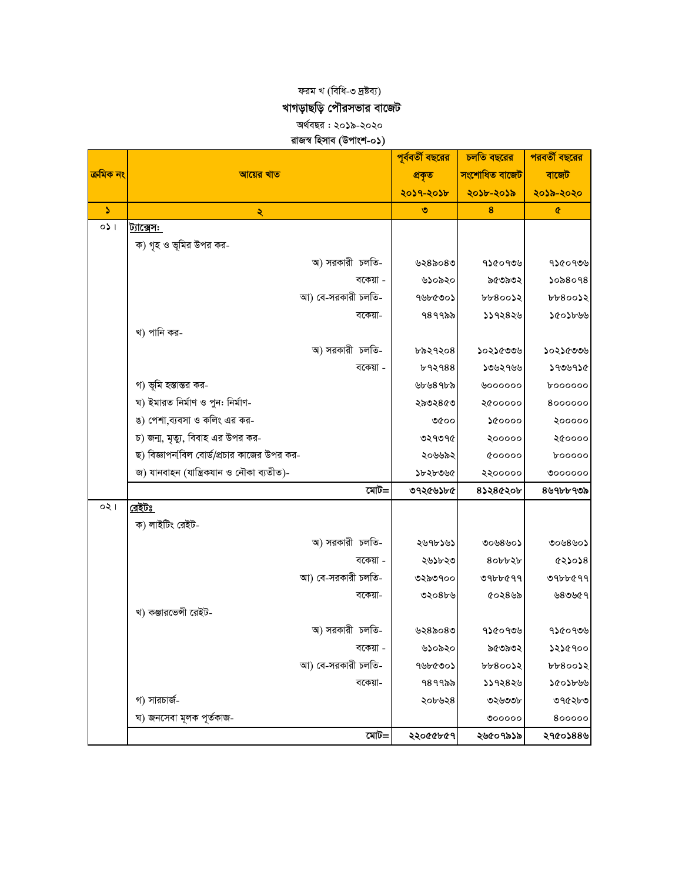### ফরম খ (বিধি-৩ দ্রষ্টব্য) খাগড়াছড়ি পৌরসভার বাজেট অর্থবছর : ২০১৯-২০২০ রাজস্ব হিসাব (উপাংশ-০১)

|           |                                            | পূর্ববর্তী বছরের | চলতি বছরের          | পরবর্তী বছরের |
|-----------|--------------------------------------------|------------------|---------------------|---------------|
| ক্ৰমিক নং | আয়ের খাত                                  | প্ৰকৃত           | সংশোধিত বাজেট       | বাজেট         |
|           |                                            | ২০১৭-২০১৮        | ২০১৮-২০১৯           | ২০১৯-২০২০     |
| $\Delta$  | ২                                          | $\circ$          | 8                   | ¢             |
| 051       | <u>ট্যাক্সেস:</u>                          |                  |                     |               |
|           | ক) গৃহ ও ভূমির উপর কর-                     |                  |                     |               |
|           | অ) সরকারী চলতি-                            | ৬২৪৯০৪৩          | ৭১৫০৭৩৬             | ৭১৫০৭৩৬       |
|           | বকেয়া -                                   | ৬১০৯২০           | ৯৫৩৯৩২              | 5008098       |
|           | আ) বে-সরকারী চলতি-                         | ৭৬৮৫৩০১          | bb80052             | $b\bar{b}800$ |
|           | বকেয়া-                                    | ৭৪৭৭৯৯           | ১১৭২৪২৬             | ১৫০১৮৬৬       |
|           | খ) পানি কর-                                |                  |                     |               |
|           | অ) সরকারী চলতি-                            | ৮৯২৭২০৪          | ১০২১৫৩৩৬            | ১০২১৫৩৩৬      |
|           | বকেয়া -                                   | ৮৭২৭৪৪           | ১৩৬২৭৬৬             | ১৭৩৬৭১৫       |
|           | গ) ভূমি হস্তান্তর কর-                      | ৬৮৬৪ ৭৮৯         | 0000000             | 6000000       |
|           | ঘ) ইমারত নির্মাণ ও পুন: নির্মাণ-           | ২৯৩২৪৫৩          | ২৫০০০০০             | 8000000       |
|           | ঙ) পেশা,ব্যবসা ও কলিং এর কর-               | ৩৫০০             | $\Omega$            | ২০০০০০        |
|           | চ) জন্ম, মৃত্যু, বিবাহ এর উপর কর-          | ৩২৭৩৭৫           | ২০০০০০              | ২৫০০০০        |
|           | ছ) বিজ্ঞাপন[বিল বোর্ড/প্রচার কাজের উপর কর- | ২০৬৬৯২           | $Q$ 00000           | booooo        |
|           | জ) যানবাহন (যান্ত্ৰিকযান ও নৌকা ব্যতীত)-   | ১৮২৮৩৬৫          | ২২০০০০০             | 0000000       |
|           | মোট=                                       | ৩৭২৫৬১৮৫         | 8১২8৫২০৮            | ৪৬৭৮৮৭৩৯      |
| 051       | <u>রেইটঃ</u>                               |                  |                     |               |
|           | ক) লাইটিং রেইট-                            |                  |                     |               |
|           | অ) সরকারী চলতি-                            | ২৬৭৮১৬১          | ৩০৬৪৬০১             | ৩০৬৪৬০১       |
|           | বকেয়া -                                   | ২৬১৮২৩           | $8$ obb $\lambda$ b | $<$ 5058      |
|           | আ) বে-সরকারী চলতি-                         | ৩২৯৩৭০০          | ৩৭৮৮৫৭৭             | ৩৭৮৮৫৭৭       |
|           | বকেয়া-                                    | ৩২০৪৮৬           | ৫০২৪৬৯              | ৬৪৩৬৫৭        |
|           | খ) কঞ্জারভেন্সী রেইট-                      |                  |                     |               |
|           | অ) সরকারী চলতি-                            | ৬২৪৯০৪৩          | ৭১৫০৭৩৬             | ৭১৫০৭৩৬       |
|           | বকেয়া -                                   | ৬১০৯২০           | ৯৫৩৯৩২              | ১২১৫৭০০       |
|           | আ) বে-সরকারী চলতি-                         | ৭৬৮৫৩০১          | bb80052             | ৮৮৪০০১২       |
|           | বকেয়া-                                    | ৭৪ ৭৭৯৯          | ১১৭২৪২৬             | ১৫০১৮৬৬       |
|           | গ) সারচার্জ-                               | ২০৮৬২৪           | ৩২৬৩৩৮              | ৩৭৫২৮৩        |
|           | ঘ) জনসেবা মূলক পূৰ্তকাজ-                   |                  | 000000              | 800000        |
|           | মেট=                                       | ২২০৫৫৮৫৭         | ২৬৫০৭৯১৯            | ২৭৫০১৪৪৬      |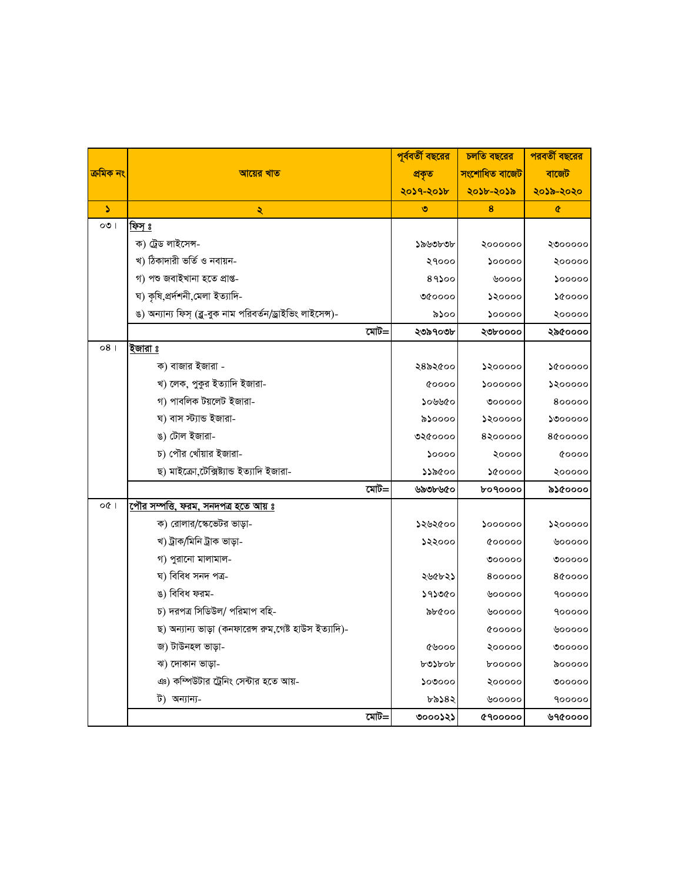|           |                                                             |      | পূর্ববর্তী বছরের | চলতি বছরের         | পরবর্তী বছরের |
|-----------|-------------------------------------------------------------|------|------------------|--------------------|---------------|
| ক্ৰমিক নং | আয়ের খাত                                                   |      | প্ৰকৃত           | সংশোধিত বাজেট      | বাজেট         |
|           |                                                             |      | ২০১৭-২০১৮        | ২০১৮-২০১৯          | ২০১৯-২০২০     |
| S         | ২                                                           |      | $\circ$          | 8                  | ¢             |
| 001       | ফিস ঃ                                                       |      |                  |                    |               |
|           | ক) ট্ৰেড লাইসেন্স-                                          |      | ১৯৬৩৮৩৮          | ২০০০০০০            | ২৩০০০০০       |
|           | খ) ঠিকাদারী ভর্তি ও নবায়ন-                                 |      | ২৭০০০            | $\mathsf{S00000}$  | ২০০০০০        |
|           | গ) পশু জবাইখানা হতে প্ৰাপ্ত-                                |      | 89200            | ৬০০০০              | ১০০০০০        |
|           | ঘ) কৃষি,প্ৰৰ্দশনী,মেলা ইত্যাদি-                             |      | ৩৫০০০০           | ১২০০০০             | ১৫০০০০        |
|           | ঙ) অন্যান্য ফিস্ (ব্লু-বুক নাম পরিবর্তন/ড্রাইভিং লাইসেন্স)- |      | ৯১০০             | ১০০০০০             | ২০০০০০        |
|           |                                                             | মোট= | ২৩৯৭০৩৮          | ২৩৮০০০০            | ২৯৫০০০০       |
| 08∣       | ইজারা ঃ                                                     |      |                  |                    |               |
|           | ক) বাজার ইজারা -                                            |      | ২৪৯২৫০০          | ১২০০০০০            | ১৫০০০০০       |
|           | খ) লেক, পুকুর ইত্যাদি ইজারা-                                |      | $Q$ 0000         | ১০০০০০             | ১২০০০০০       |
|           | গ) পাবলিক টয়লেট ইজারা-                                     |      | ১০৬৬৫০           | ৩০০০০              | 800000        |
|           | ঘ) বাস স্ট্যান্ড ইজারা-                                     |      | ৯১০০০০           | ১২০০০০০            | ১৩০০০০০       |
|           | ঙ) টোল ইজারা-                                               |      | ৩২৫০০০০          | 8२०००००            | 8000000       |
|           | চ) পৌর খোঁয়ার ইজারা-                                       |      | ১০০০০            | ২০০০০              | 00000         |
|           | ছ) মাইক্রো,টেক্সিষ্ট্যান্ড ইত্যাদি ইজারা-                   |      | ১১৯৫০০           | ১৫০০০০             | ২০০০০০        |
|           |                                                             | মোট= | ৬৯৩৮৬৫০          | bodoooo            | ৯১৫০০০০       |
| O(f)      | <u>পৌর সম্পত্তি, ফরম, সনদপত্র হতে আয় ঃ</u>                 |      |                  |                    |               |
|           | ক) রোলার/স্কেভেটর ভাড়া-                                    |      | ১২৬২৫০০          | ১০০০০০০            | ১২০০০০০       |
|           | খ) ট্ৰাক/মিনি ট্ৰাক ভাড়া-                                  |      | ১২২০০০           | <b>৫०००००</b>      | ৩০০০০         |
|           | গ) পুরানো মালামাল-                                          |      |                  | ৩০০০০              | 000000        |
|           | ঘ) বিবিধ সনদ পত্ৰ-                                          |      | ২৬৫৮২১           | 800000             | 800000        |
|           | ঙ) বিবিধ ফরম-                                               |      | ১৭১৩৫০           | ৬০০০০              | 900000        |
|           | চ) দরপত্র সিডিউল/ পরিমাপ বহি-                               |      | ৯৮৫০০            | ৬০০০০              | 900000        |
|           | ছ) অন্যান্য ভাড়া (কনফারেন্স রুম,গেষ্ট হাউস ইত্যাদি)-       |      |                  | 000000             | ৩০০০০         |
|           | জ) টাউনহল ভাড়া-                                            |      | ৫৬০০০            | ২০০০০০             | ৩০০০০         |
|           | ঝ) দোকান ভাড়া-                                             |      | ৮৩১৮০৮           | pooooo             | ৯০০০০         |
|           | ঞ) কম্পিউটার ট্রেনিং সেন্টার হতে আয়-                       |      | ১০৩০০০           | ২০০০০০             | ৩০০০০         |
|           | ট) অন্যান্য-                                                |      | ৮৯১৪২            | ৬০০০০              | 900000        |
|           |                                                             | মোট= | ৩০০০১২১          | <b>&amp;900000</b> | ৬৭৫০০০০       |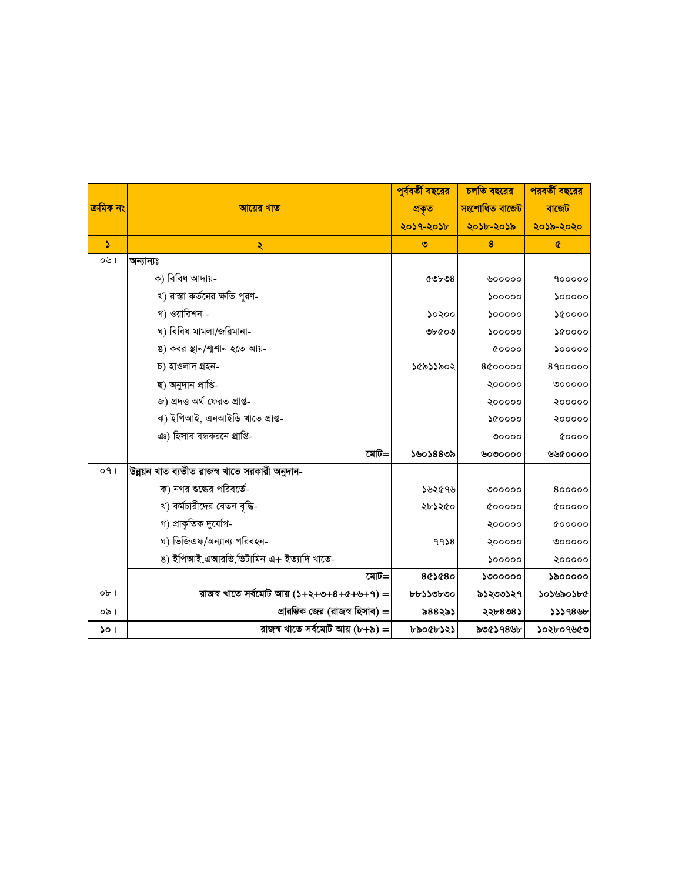|                 |                                               | পূর্ববর্তী বছরের | চলতি বছরের    | পরবর্তী বছরের            |
|-----------------|-----------------------------------------------|------------------|---------------|--------------------------|
| ক্ৰমিক নং       | আয়ের খাত                                     | প্ৰকৃত           | সংশোধিত বাজেট | বাজেট                    |
|                 |                                               | ২০১৭-২০১৮        | ২০১৮-২০১৯     | ২০১৯-২০২০                |
| $\Delta$        | ২                                             | $\circ$          | 8             | ¢                        |
| 091             | <u>অন্যান্যঃ</u>                              |                  |               |                          |
|                 | ক) বিবিধ আদায়-                               | &0b08            | 000000        | 900000                   |
|                 | খ) রাস্তা কর্তনের ক্ষতি পূরণ-                 |                  | 500000        | $\mathcal{S}^{\text{0}}$ |
|                 | গ) ওয়ারিশন -                                 | ১০২০০            | 500000        | ১৫০০০০                   |
|                 | ঘ) বিবিধ মামলা/জরিমানা-                       | ৩৮৫০৩            | 500000        | $\Omega$                 |
|                 | ঙ) কবর স্থান/শ্মশান হতে আয়-                  |                  | $Q$ 0000      | 500000                   |
|                 | চ) হাওলাদ গ্ৰহন-                              | ১৫৯১১৯০২         | 8000000       | 8900000                  |
|                 | ছ) অনুদান প্ৰাপ্তি-                           |                  | ২০০০০০        | ৩০০০০০                   |
|                 | জ) প্ৰদত্ত অৰ্থ ফেরত প্ৰাপ্ত-                 |                  | ২০০০০০        | ২০০০০০                   |
|                 | ঝ) ইপিআই, এনআইডি খাতে প্ৰাপ্ত-                |                  | ১৫০০০০        | ২০০০০০                   |
|                 | ঞ) হিসাব বন্ধকরনে প্রাপ্তি-                   |                  | ৩০০০০         | 00000                    |
|                 | মোট=                                          | ১৬০১৪৪৩৯         | ৬০৩০০০০       | ৬৬৫০০০০                  |
| 091             | উন্নয়ন খাত ব্যতীত রাজস্ব খাতে সরকারী অনুদান- |                  |               |                          |
|                 | ক) নগর শুল্কের পরিবর্তে-                      | ১৬২৫৭৬           | ৩೦೦೦೦೦        | 800000                   |
|                 | খ) কর্মচারীদের বেতন বৃদ্ধি-                   | ২৮১২৫০           | <b>৫०००००</b> | &00000                   |
|                 | গ) প্রাকৃতিক দুর্যোগ-                         |                  | ২০০০০০        | $Q$ 00000                |
|                 | ঘ) ভিজিএফ/অন্যান্য পরিবহন-                    | 9958             | ২০০০০০        | ৩೦೦೦೦೦                   |
|                 | ঙ) ইপিআই,এআরভি,ভিটামিন এ+ ইত্যাদি খাতে-       |                  | 500000        | ২০০০০০                   |
|                 | মোট=                                          | 8¢১৫80           | ১৩০০০০০       | ১৯০০০০০                  |
| ob <sub>1</sub> | রাজস্ব খাতে সর্বমোট আয় (১+২+৩+8+৫+৬+৭) =     | ঢ়ঢ়৽৽ঢ়৽৽       | ৯১২৩৩১২৭      | ১০১৬৯০১৮৫                |
| ০৯ ৷            | প্রারম্ভিক জের (রাজস্ব হিসাব) =               | ৯৪৪২৯১           | ২২৮৪৩৪১       | <b>5559866</b>           |
| 501             | রাজস্ব খাতে সর্বমোট আয় $(b+b) =$             | ৮৯০৫৮১২১         | ৯৩৫১৭৪৬৮      | ১০২৮০৭৬৫৩                |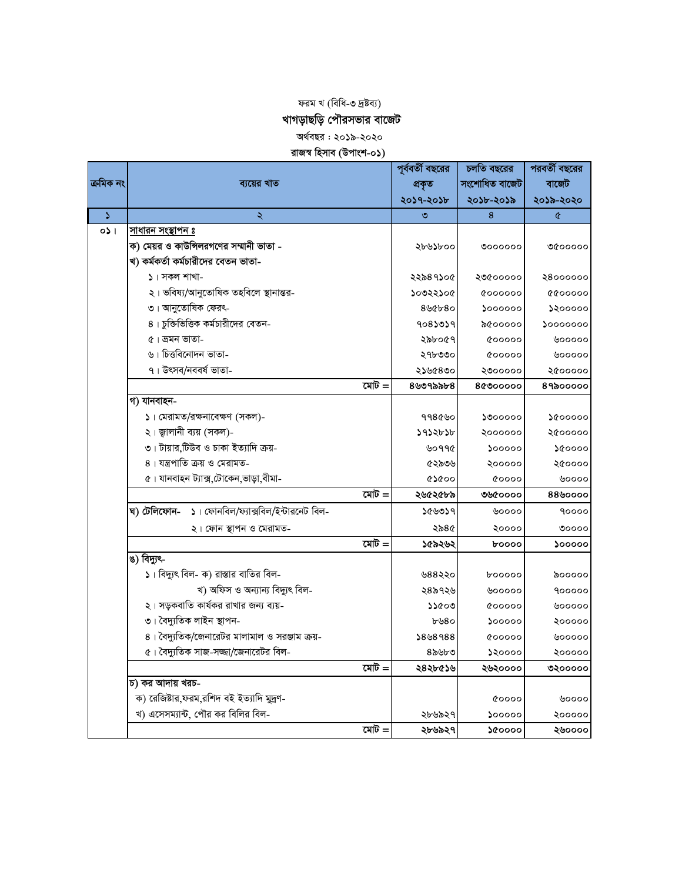ফরম খ (বিধি-৩ দ্রষ্টব্য) খাগড়াছড়ি পৌরসভার বাজেট

অর্থবছর : ২০১৯-২০২০

রাজস্ব হিসাব (উপাংশ-০১)

|           |                                                    |         | পূর্ববর্তী বছরের | চলতি বছরের               | পরবর্তী বছরের         |
|-----------|----------------------------------------------------|---------|------------------|--------------------------|-----------------------|
| ক্ৰমিক নং | ব্যয়ের খাত                                        |         | প্ৰকৃত           | সংশোধিত বাজেট            | বাজেট                 |
|           |                                                    |         | ২০১৭-২০১৮        | ২০১৮-২০১৯                | ২০১৯-২০২০             |
| S         | ২                                                  |         | ৩                | 8                        | Q                     |
| ا دە      | <u>সাধারন সংস্থাপন ঃ</u>                           |         |                  |                          |                       |
|           | ক) মেয়র ও কাউন্সিলরগণের সম্মানী ভাতা -            |         | ২৮৬১৮০০          | ৩০০০০০০                  | ৩৫০০০০০               |
|           | খ) কর্মকর্তা কর্মচারীদের বেতন ভাতা-                |         |                  |                          |                       |
|           | ১। সকল শাখা-                                       |         | ২২৯৪৭১০৫         | ২৩৫০০০০০                 | ২৪০০০০০০              |
|           | ২। ভবিষ্য/আনুতোষিক তহবিলে স্থানান্তর-              |         | ১০৩২২১০৫         | $Q$ 000000               | 000000                |
|           | ৩। আনুতোষিক ফেরৎ-                                  |         | 896680           | $\mathcal{S}^{\text{0}}$ | ১২০০০০০               |
|           | ৪। চুক্তিভিত্তিক কর্মচারীদের বেতন-                 |         | 9085059          | ৯৫০০০০০                  | $\mathcal{V}$ 0000000 |
|           | ৫। ভ্ৰমন ভাতা-                                     |         | ২৯৮০৫৭           | $Q$ 00000                | ৬০০০০                 |
|           | ৬। চিত্তবিনোদন ভাতা-                               |         | ২৭৮৩৩০           | 000000                   | ৬০০০০                 |
|           | ৭। উৎসব/নববর্ষ ভাতা-                               |         | ২১৬৫৪৩০          | ২৩০০০০০                  | ২৫০০০০০               |
|           |                                                    | মোট =   | ৪৬৩৭৯৯৮৪         | 80000000                 | 89৯०००००              |
|           | গ) যানবাহন-                                        |         |                  |                          |                       |
|           | ১। মেরামত/রক্ষনাবেক্ষণ (সকল)-                      |         | ৭৭৪৫৬০           | ১৩০০০০০                  | ১৫০০০০০               |
|           | ২। জ্বালানী ব্যয় (সকল)-                           |         | ১৭১২৮১৮          | ২০০০০০০                  | ২৫০০০০০               |
|           | ৩। টায়ার,টিউব ও চাকা ইত্যাদি ক্রয়-               |         | ৬০৭৭৫            | ১০০০০০                   | ১৫০০০০                |
|           | ৪। যন্ত্রপাতি ক্রয় ও মেরামত-                      |         | ৫২৯৩৬            | ২০০০০০                   | ২৫০০০০                |
|           | ৫। যানবাহন ট্যাক্স,টোকেন,ভাড়া,বীমা-               |         | ৫১৫০০            | <b>COOOO</b>             | ৬০০০০                 |
|           |                                                    | মোট =   | ২৬৫২৫৮৯          | ৩৬৫০০০০                  | 8890000               |
|           | ১। ফোনবিল/ফ্যাক্সবিল/ইন্টারনেট বিল-<br>ঘ) টেলিফোন- |         | ১৫৬৩১৭           | ৬০০০০                    | 90000                 |
|           | ২। ফোন স্থাপন ও মেরামত-                            |         | ২৯৪৫             | ২০০০০                    | ৩০০০০                 |
|           |                                                    | মোট =   | ১৫৯২৬২           | <b>b0000</b>             | ১০০০০০                |
|           | ঙ) বিদ্যুৎ-                                        |         |                  |                          |                       |
|           | ১। বিদ্যুৎ বিল- ক) রাস্তার বাতির বিল-              |         | ৬৪৪২২০           | pooooo                   | ৯০০০০০                |
|           | খ) অফিস ও অন্যান্য বিদ্যুৎ বিল-                    |         | ২৪৯৭২৬           | ৬০০০০                    | 900000                |
|           | ২। সড়কবাতি কার্যকর রাখার জন্য ব্যয়-              |         | ১১৫০৩            | <b>৫०००००</b>            | ৩০০০০                 |
|           | ৩। বৈদ্যুতিক লাইন স্থাপন-                          |         | $b\psi 8\sigma$  | ১০০০০০                   | ২০০০০০                |
|           | ৪। বৈদ্যুতিক/জেনারেটর মালামাল ও সরঞ্জাম ক্রয়-     |         | 2868988          | $Q$ 00000                | ৬০০০০                 |
|           | ৫। বৈদ্যুতিক সাজ-সজ্জা/জেনারেটর বিল-               |         | ৪৯৬৮৩            | ১২০০০০                   | ২০০০০০                |
|           |                                                    | মোট =   | ২৪২৮৫১৬          | ২৬২০০০০                  | ৩২০০০০০               |
|           | চ) কর আদায় খরচ-                                   |         |                  |                          |                       |
|           | ক) রেজিষ্টার,ফরম,রশিদ বই ইত্যাদি মুদ্রণ-           |         |                  | $Q$ 0000                 | ৬০০০০                 |
|           | খ) এসেসম্যান্ট, পৌর কর বিলির বিল-                  |         | ২৮৬৯২৭           | ১০০০০০                   | ২০০০০০                |
|           |                                                    | মোট $=$ | ২৮৬৯২৭           | ১৫০০০০                   | ২৬০০০০                |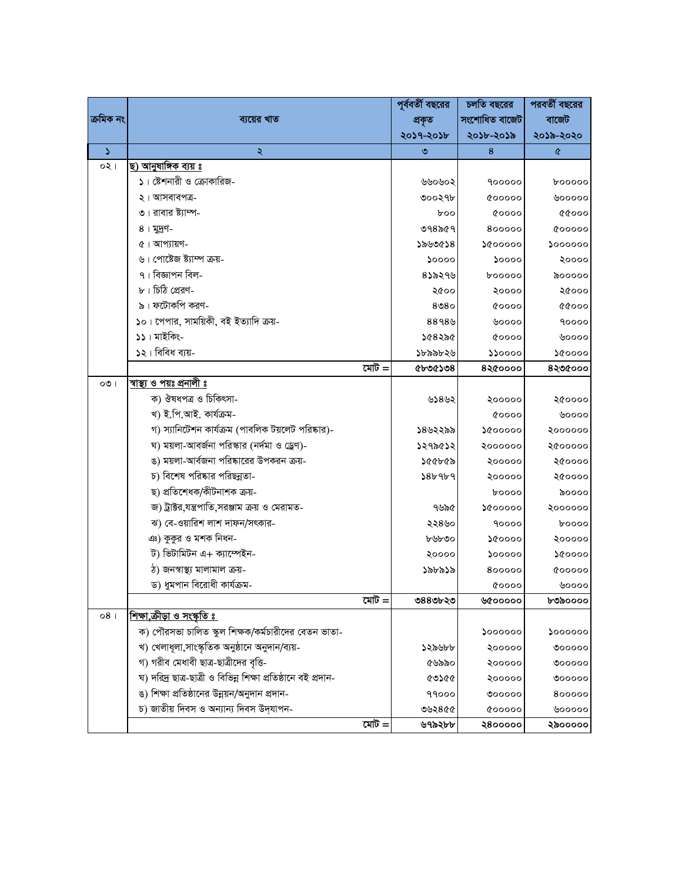|           |                                                                                                                                                                                                                                                                                                                                                                                                   |         | পূর্ববর্তী বছরের | চলতি বছরের               | পরবর্তী বছরের                                                                      |
|-----------|---------------------------------------------------------------------------------------------------------------------------------------------------------------------------------------------------------------------------------------------------------------------------------------------------------------------------------------------------------------------------------------------------|---------|------------------|--------------------------|------------------------------------------------------------------------------------|
| ক্ৰমিক নং | ব্যয়ের খাত                                                                                                                                                                                                                                                                                                                                                                                       |         | প্ৰকৃত           | সংশোধিত বাজেট            | বাজেট                                                                              |
|           |                                                                                                                                                                                                                                                                                                                                                                                                   |         | ২০১৭-২০১৮        | ২০১৮-২০১৯                | ২০১৯-২০২০                                                                          |
| S         | ২                                                                                                                                                                                                                                                                                                                                                                                                 |         | ৩                | 8                        | ¢                                                                                  |
| 021       | <u>ছ) আনুষাঙ্গিক ব্যয় ঃ</u>                                                                                                                                                                                                                                                                                                                                                                      |         |                  |                          |                                                                                    |
|           | ১। ষ্টেশনারী ও ক্রোকারিজ-                                                                                                                                                                                                                                                                                                                                                                         |         | ৬৬০৬০২           | 900000                   | pooooo                                                                             |
|           | ২। আসবাবপত্র-                                                                                                                                                                                                                                                                                                                                                                                     |         | ৩০০২৭৮           | ৫০০০০০                   | ৬০০০০                                                                              |
|           | ৩। রাবার ষ্ট্যাম্প-                                                                                                                                                                                                                                                                                                                                                                               |         | boo              | $Q$ 0000                 | 66000                                                                              |
|           | $8 + \frac{1}{2} + \frac{1}{2} + \frac{1}{2} + \frac{1}{2} + \frac{1}{2} + \frac{1}{2} + \frac{1}{2} + \frac{1}{2} + \frac{1}{2} + \frac{1}{2} + \frac{1}{2} + \frac{1}{2} + \frac{1}{2} + \frac{1}{2} + \frac{1}{2} + \frac{1}{2} + \frac{1}{2} + \frac{1}{2} + \frac{1}{2} + \frac{1}{2} + \frac{1}{2} + \frac{1}{2} + \frac{1}{2} + \frac{1}{2} + \frac{1}{2} + \frac{1}{2} + \frac{1}{2} + \$ |         | ৩৭৪৯৫৭           | 800000                   | $Q$ 00000                                                                          |
|           | ৫। আপ্যায়ণ-                                                                                                                                                                                                                                                                                                                                                                                      |         | ১৯৬৩৫১৪          | ১৫০০০০০                  | $\mathcal{S}^{\mathcal{O}\mathcal{O}\mathcal{O}\mathcal{O}\mathcal{O}\mathcal{O}}$ |
|           | ৬। পোষ্টেজ ষ্ট্যাম্প ক্রয়-                                                                                                                                                                                                                                                                                                                                                                       |         | ১০০০০            | ১০০০০                    | ২০০০০                                                                              |
|           | ৭। বিজ্ঞাপন বিল-                                                                                                                                                                                                                                                                                                                                                                                  |         | ৪১৯২৭৬           | pooooo                   | ৯০০০০০                                                                             |
|           | ৮। চিঠি প্রেরণ-                                                                                                                                                                                                                                                                                                                                                                                   |         | ২৫০০             | ২০০০০                    | ২৫০০০                                                                              |
|           | ৯। ফটোকপি করণ-                                                                                                                                                                                                                                                                                                                                                                                    |         | 8080             | $Q$ 0000                 | 66000                                                                              |
|           | ১০। পেপার, সাময়িকী, বই ইত্যাদি ক্রয়-                                                                                                                                                                                                                                                                                                                                                            |         | 88989            | ৬০০০০                    | 90000                                                                              |
|           | ১১। মাইকিং-                                                                                                                                                                                                                                                                                                                                                                                       |         | ১৫৪২৯৫           | 00000                    | ৬০০০০                                                                              |
|           | ১২। বিবিধ ব্যয়-                                                                                                                                                                                                                                                                                                                                                                                  |         | ১৮৯৯৮২৬          | ১১০০০০                   | ১৫০০০০                                                                             |
|           |                                                                                                                                                                                                                                                                                                                                                                                                   | মোট $=$ | 8069049          | 8२¢००००                  | 8500000                                                                            |
| 001       | <u>স্বাস্থ্য ও পয়ঃ প্রনালী ঃ</u>                                                                                                                                                                                                                                                                                                                                                                 |         |                  |                          |                                                                                    |
|           | ক) ঔষধপত্ৰ ও চিকিৎসা-                                                                                                                                                                                                                                                                                                                                                                             |         | ৬১৪৬২            | ২০০০০০                   | ২৫০০০০                                                                             |
|           | খ) ই.পি.আই. কাৰ্যক্ৰম-                                                                                                                                                                                                                                                                                                                                                                            |         |                  | <b>৫००००</b>             | ৬০০০০                                                                              |
|           | গ) স্যানিটেশন কার্যক্রম (পাবলিক টয়লেট পরিষ্কার)-                                                                                                                                                                                                                                                                                                                                                 |         | ১৪৬২২৯৯          | ১৫০০০০০                  | ২০০০০০০                                                                            |
|           | ঘ) ময়লা-আবর্জনা পরিস্কার (নর্দমা ও ড্রেণ)-                                                                                                                                                                                                                                                                                                                                                       |         | ১২৭৯৫১২          | ২০০০০০০                  | ২৫০০০০০                                                                            |
|           | ঙ) ময়লা-আর্বজনা পরিষ্কারের উপকরন ক্রয়-                                                                                                                                                                                                                                                                                                                                                          |         | ১৫৫৮৫৯           | ২০০০০০                   | ২৫০০০০                                                                             |
|           | চ) বিশেষ পরিষ্কার পরিছন্নতা-                                                                                                                                                                                                                                                                                                                                                                      |         | 58b9b9           | ২০০০০০                   | ২৫০০০০                                                                             |
|           | ছ) প্ৰতিশেধক/কীটনাশক ক্ৰয়-                                                                                                                                                                                                                                                                                                                                                                       |         |                  | poooo                    | ৯০০০০                                                                              |
|           | জ) ট্রাক্টর,যন্ত্রপাতি,সরঞ্জাম ক্রয় ও মেরামত-                                                                                                                                                                                                                                                                                                                                                    |         | ঀ৬৯৫             | ১৫০০০০০                  | ২০০০০০০                                                                            |
|           | ঝ) বে-ওয়ারিশ লাশ দাফন/সৎকার-                                                                                                                                                                                                                                                                                                                                                                     |         | ২২৪৬০            | 90000                    | poooo                                                                              |
|           | ঞ) কুকুর ও মশক নিধন-                                                                                                                                                                                                                                                                                                                                                                              |         | ৮৬৮৩০            | ১৫০০০০                   | ২০০০০০                                                                             |
|           | ট) ভিটামিটন এ+ ক্যাম্পেইন-                                                                                                                                                                                                                                                                                                                                                                        |         | ২০০০০            | ১০০০০০                   | ১৫০০০০                                                                             |
|           | ঠ) জনস্বাস্থ্য মালামাল ক্ৰয়-                                                                                                                                                                                                                                                                                                                                                                     |         | ১৯৮৯১৯           | 800000                   | <b>৫०००००</b>                                                                      |
|           | ড) ধুমপান বিরোধী কার্যক্রম-                                                                                                                                                                                                                                                                                                                                                                       |         |                  | 00000                    | ৬০০০০                                                                              |
|           |                                                                                                                                                                                                                                                                                                                                                                                                   | মোট =   | ৩৪৪৩৮২৩          | ৬৫০০০০০                  | চ৩৯০০০০                                                                            |
| 08        | <u>শিক্ষা,ক্রীড়া ও সংস্কৃতি ঃ</u>                                                                                                                                                                                                                                                                                                                                                                |         |                  |                          |                                                                                    |
|           | ক) পৌরসভা চালিত স্কুল শিক্ষক/কর্মচারীদের বেতন ভাতা-                                                                                                                                                                                                                                                                                                                                               |         |                  | $\mathcal{V}^{\text{0}}$ | ১০০০০০                                                                             |
|           | খ) খেলাধূলা,সাংস্কৃতিক অনুষ্ঠানে অনুদান/ব্যয়-                                                                                                                                                                                                                                                                                                                                                    |         | ১২৯৬৮৮           | ২০০০০০                   | 000000                                                                             |
|           | গ) গরীব মেধাবী ছাত্র-ছাত্রীদের বৃত্তি-                                                                                                                                                                                                                                                                                                                                                            |         | ৫৬৯৯০            | ২০০০০০                   | 000000                                                                             |
|           | ঘ) দরিদ্র ছাত্র-ছাত্রী ও বিভিন্ন শিক্ষা প্রতিষ্ঠানে বই প্রদান-                                                                                                                                                                                                                                                                                                                                    |         | 0560             | ২০০০০০                   | ৩೦೦೦೦                                                                              |
|           | ঙ) শিক্ষা প্রতিষ্ঠানের উন্নয়ন/অনুদান প্রদান-                                                                                                                                                                                                                                                                                                                                                     |         | ११०००            | ৩০০০০                    | 800000                                                                             |
|           | চ) জাতীয় দিবস ও অন্যান্য দিবস উদ্যাপন-                                                                                                                                                                                                                                                                                                                                                           |         | ৩৬২৪৫৫           | <b>coooo</b>             | ৬০০০০                                                                              |
|           |                                                                                                                                                                                                                                                                                                                                                                                                   | মোট =   | ৬৭৯২৮৮           | ২৪০০০০০                  | ২৯০০০০০                                                                            |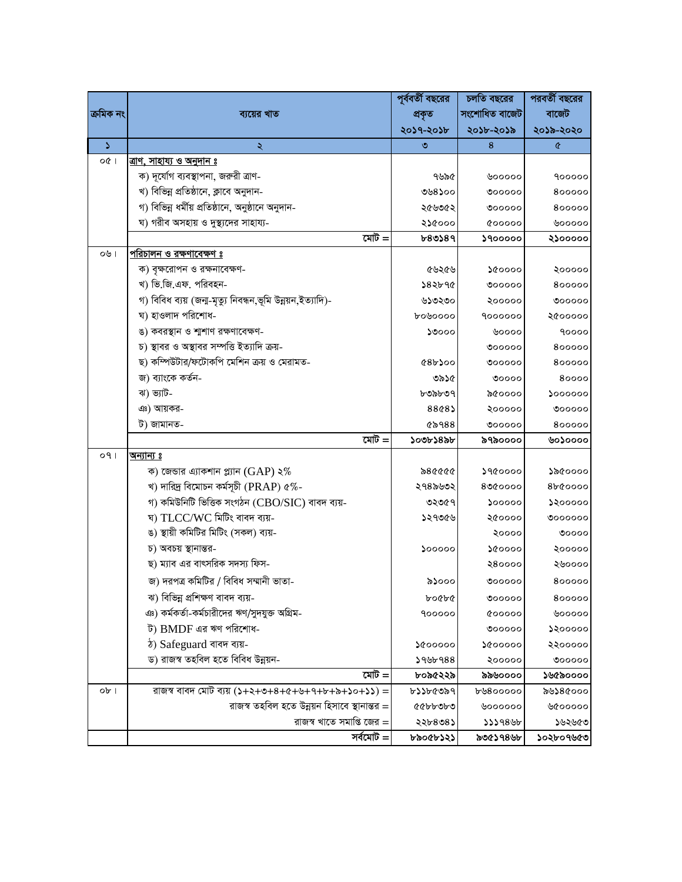|                 |                                                            | পূর্ববর্তী বছরের | চলতি বছরের    | পরবর্তী বছরের |
|-----------------|------------------------------------------------------------|------------------|---------------|---------------|
| ক্ৰমিক নং       | ব্যয়ের খাত                                                | প্ৰকৃত           | সংশোধিত বাজেট | বাজেট         |
|                 |                                                            | ২০১৭-২০১৮        | ২০১৮-২০১৯     | ২০১৯-২০২০     |
| S               | ২                                                          | ৩                | 8             | Q             |
| $OQ$            | <u>ত্রাণ, সাহায্য ও অনুদান ঃ</u>                           |                  |               |               |
|                 | ক) দূর্যোগ ব্যবস্থাপনা, জরুরী ত্রাণ-                       | ৭৬৯৫             | ৬০০০০         | १०००००        |
|                 | খ) বিভিন্ন প্রতিষ্ঠানে, ক্লাবে অনুদান-                     | ৩৬৪১০০           | ৩০০০০         | 800000        |
|                 | গ) বিভিন্ন ধৰ্মীয় প্ৰতিষ্ঠানে, অনুষ্ঠানে অনুদান-          | ২৫৬৩৫২           | 000000        | 800000        |
|                 | ঘ) গরীব অসহায় ও দুস্থ্যদের সাহায্য-                       | ২১৫০০০           | 000000        | ৬০০০০         |
|                 | মোট $=$                                                    | ৮৪৩১৪৭           | ১৭০০০০০       | ২১০০০০০       |
| 091             | <u>পরিচালন ও রক্ষণাবেক্ষণ ঃ</u>                            |                  |               |               |
|                 | ক) বৃক্ষরোপন ও রক্ষনাবেক্ষণ-                               | ৫৬২৫৬            | ১৫০০০০        | ২০০০০০        |
|                 | খ) ভি.জি.এফ. পরিবহন-                                       | ১৪২৮৭৫           | ৩০০০০০        | 800000        |
|                 | গ) বিবিধ ব্যয় (জন্ম-মৃত্যু নিবন্ধন,ভূমি উন্নয়ন,ইত্যাদি)- | ৬১৩২৩০           | ২০০০০০        | ৩೦೦೦೦         |
|                 | ঘ) হাওলাদ পরিশোধ-                                          | popoooo          | 9000000       | ২৫০০০০০       |
|                 | ঙ) কবরস্থান ও শাশাণ রক্ষণাবেক্ষণ-                          | ১৩০০০            | ৬০০০০         | 90000         |
|                 | চ) স্থাবর ও অস্থাবর সম্পত্তি ইত্যাদি ক্রয়-                |                  | 000000        | 800000        |
|                 | ছ) কম্পিউটার/ফটোকপি মেশিন ক্রয় ও মেরামত-                  | ৫৪৮১০০           | ৩০০০০০        | 800000        |
|                 | জ) ব্যাংকে কর্তন-                                          | ৩৯১৫             | ৩০০০০         | 80000         |
|                 | ঝ) ভ্যাট-                                                  | ৮৩৯৮৩৭           | ৯৫০০০০        | ১০০০০০        |
|                 | ঞ) আয়কর-                                                  | 88085            | ২০০০০০        | ৩೦೦೦೦         |
|                 | ট) জামানত-                                                 | ৫৯৭৪৪            | ৩০০০০০        | 800000        |
|                 | মোট =                                                      | ১০৩৮১৪৯৮         | ৯৭৯০০০০       | ৬০১০০০০       |
| 091             | অন্যান্য ঃ                                                 |                  |               |               |
|                 | ক) জেন্ডার এ্যাকশান প্ল্যান $(GAP)$ ২%                     | <b>999986</b>    | ১৭৫০০০০       | ১৯৫০০০০       |
|                 | খ) দারিদ্র বিমোচন কর্মসূচী ( $\rm PRAP$ ) ৫%-              | ২৭৪৯৬৩২          | 8000000       | 8600000       |
|                 | গ) কমিউনিটি ভিত্তিক সংগঠন (CBO/SIC) বাবদ ব্যয়-            | ৩২৩৫৭            | 500000        | ১২০০০০০       |
|                 | ঘ) TLCC/WC মিটিং বাবদ ব্যয়-                               | ১২৭৩৫৬           | ২৫০০০০        | ৩০০০০০        |
|                 | ঙ) স্থায়ী কমিটির মিটিং (সকল) ব্যয়-                       |                  | ২০০০০         | ৩০০০০         |
|                 | চ) অবচয় স্থানান্তর-                                       | ১০০০০০           | ১৫০০০০        | ২০০০০০        |
|                 | ছ) ম্যাব এর বাৎসরিক সদস্য ফিস-                             |                  | ২৪০০০০        | ২৬০০০০        |
|                 | জ) দরপত্র কমিটির / বিবিধ সম্মানী ভাতা-                     | ৯১০০০            | ৩೦೦೦೦೦        | 800000        |
|                 | ঝ) বিভিন্ন প্রশিক্ষণ বাবদ ব্যয়-                           | ৮০৫৮৫            | 000000        | 800000        |
|                 | ঞ) কর্মকর্তা-কর্মচারীদের ঋণ/সুদযুক্ত অগ্রিম-               | 900000           | 000000        | ৬০০০০         |
|                 | ট) $BMDF$ এর ঋণ পরিশোধ-                                    |                  | 000000        | ১২০০০০০       |
|                 | ঠ) Safeguard বাবদ ব্যয়-                                   | 000000           | ১৫০০০০০       | ২২০০০০০       |
|                 | ড) রাজস্ব তহবিল হতে বিবিধ উন্নয়ন-                         | ১৭৬৮৭৪৪          | ২০০০০০        | ৩০০০০০        |
|                 | মোট $=$                                                    | ৮০৯৫২২৯          | ৯৯৬০০০০       | ১৬৫৯০০০০      |
| ob <sub>1</sub> | রাজস্ব বাবদ মোট ব্যয় (১+২+৩+8+৫+৬+৭+৮+৯+১০+১১) =          | ৮১১৮৫৩৯৭         | b9800000      | ৯৬১৪৫০০০      |
|                 | রাজস্ব তহবিল হতে উন্নয়ন হিসাবে স্থানান্তর =               | cappopo          | ৬০০০০০        | ৬৫০০০০০       |
|                 | রাজস্ব খাতে সমাপ্তি জের =                                  | ২২৮৪৩৪১          | ১১১৭৪৬৮       | ১৬২৬৫৩        |
|                 | সৰ্বমোট =                                                  | ৮৯০৫৮১২১         | ৯৩৫১৭৪৬৮      | ১০২৮০৭৬৫৩     |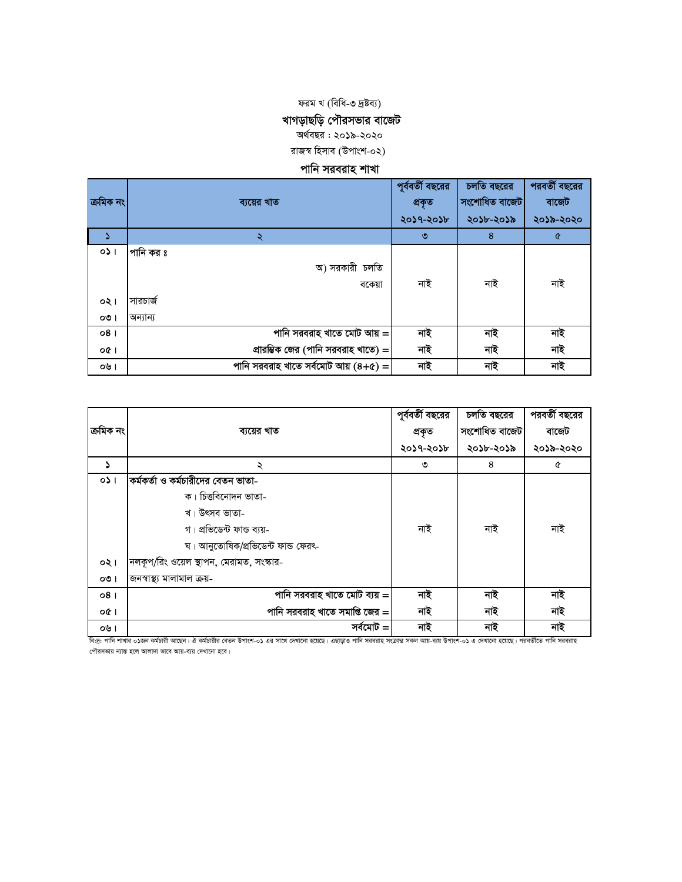ফরম খ (বিধি-**৩** দ্রষ্টব্য)

# খাগড়াছড়ি পৌরসভার বাজেট

*A\_©eQi : 2019-2020*

রাজস্ব হিসাব (উপাংশ-০২)

#### পানি সরবরাহ শাখা

| ক্ৰমিক নং       | ব্যয়ের খাত                            | পূর্ববর্তী বছরের<br>প্ৰকৃত | চলতি বছরের<br>সংশোধিত বাজেট | পরবর্তী বছরের<br>বাজেট |
|-----------------|----------------------------------------|----------------------------|-----------------------------|------------------------|
|                 |                                        | ২০১৭-২০১৮                  | ২০১৮-২০১৯                   | ২০১৯-২০২০              |
|                 | ২                                      | ৩                          | 8                           | ¢                      |
| $0\sqrt{2}$     | পানি কর ঃ                              |                            |                             |                        |
|                 | অ) সরকারী চলতি                         |                            |                             |                        |
|                 | বকেয়া                                 | নাই                        | নাই                         | নাই                    |
| 021             | সারচার্জ                               |                            |                             |                        |
| 001             | অন্যান্য                               |                            |                             |                        |
| 08 <sub>1</sub> | পানি সরবরাহ খাতে মোট আয় $=$           | নাই                        | নাই                         | নাই                    |
| O(E)            | প্রারম্ভিক জের (পানি সরবরাহ খাতে) =    | নাই                        | নাই                         | নাই                    |
| ০৬।             | পানি সরবরাহ খাতে সর্বমোট আয় $(8+6) =$ | নাই                        | নাই                         | নাই                    |

|                 |                                          | পূর্ববর্তী বছরের | চলতি বছরের    | পরবর্তী বছরের |
|-----------------|------------------------------------------|------------------|---------------|---------------|
| ক্ৰমিক নং       | ব্যয়ের খাত                              | প্ৰকৃত           | সংশোধিত বাজেট | বাজেট         |
|                 |                                          | ২০১৭-২০১৮        | ২০১৮-২০১৯     | ২০১৯-২০২০     |
|                 | ২                                        | ৩                | 8             | ¢             |
| $0\sqrt{2}$     | কর্মকর্তা ও কর্মচারীদের বেতন ভাতা-       |                  |               |               |
|                 | ক। চিত্তবিনোদন ভাতা-                     |                  |               |               |
|                 | খ। উৎসব ভাতা-                            |                  |               |               |
|                 | গ। প্রভিডেন্ট ফান্ড ব্যয়-               | নাই              | নাই           | নাই           |
|                 | ঘ। আনুতোষিক/প্রভিডেন্ট ফান্ড ফেরৎ-       |                  |               |               |
| 021             | নলকূপ/রিং ওয়েল স্থাপন, মেরামত, সংস্কার- |                  |               |               |
| 001             | জনস্বাস্থ্য মালামাল ক্ৰয়-               |                  |               |               |
| 08 <sub>1</sub> | পানি সরবরাহ খাতে মোট ব্যয় =             | নাই              | নাই           | নাই           |
| O(E)            | পানি সরবরাহ খাতে সমাপ্তি জের $=$         | নাই              | নাই           | নাই           |
| ০৬।             | সৰ্বমোট =                                | নাই              | নাই           | নাই           |

বি:দ্ৰ: পানি শাখার ০১জন কর্মচারী আছেন। ঐ কর্মচারীর বেতন উপাংশ-০১ এর সাথে দেখালো হয়েছে। এছাড়াও পানি সরকার লক্ষ  $\gamma$ পীরসভায় ন্যাস্ত হলে আলাদা ভাবে আয়-ব্যয় দেখানো হবে।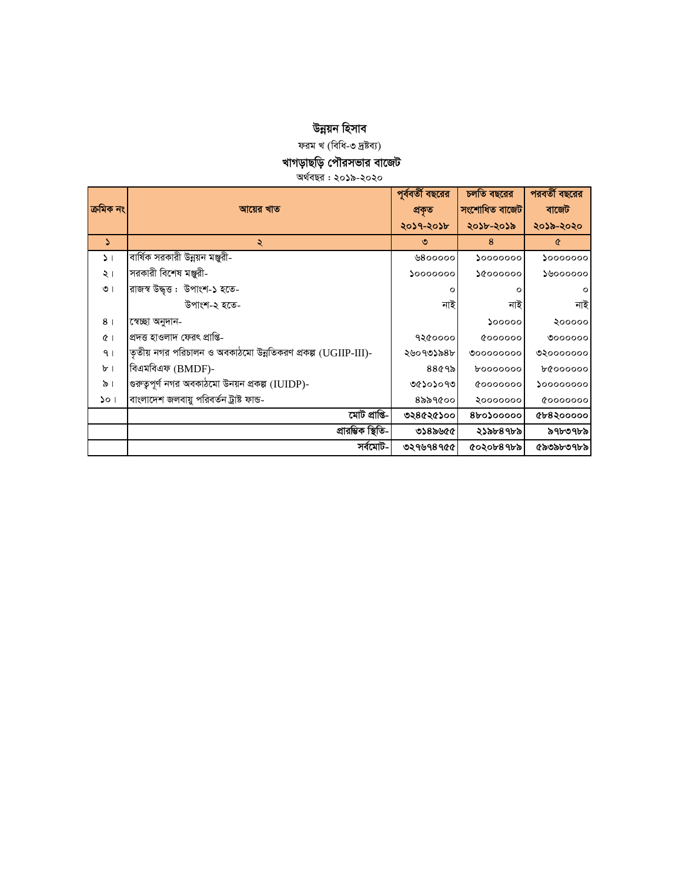# উন্নয়ন হিসাব

ফরম খ (বিধি-৩ দ্রষ্টব্য)

খাগড়াছড়ি পৌরসভার বাজেট

া কৰা হয়।<br>অৰ্থবছর : ২০১৯-২০২০

|                |                                                             | পূর্ববর্তী বছরের                    | চলতি বছরের            | পরবর্তী বছরের                       |
|----------------|-------------------------------------------------------------|-------------------------------------|-----------------------|-------------------------------------|
| ক্ৰমিক নং      | আয়ের খাত                                                   | প্ৰকৃত                              | সংশোধিত বাজেট         | বাজেট                               |
|                |                                                             | ২০১৭-২০১৮                           | ২০১৮-২০১৯             | ২০১৯-২০২০                           |
| ۵              | ২                                                           | ৩                                   | 8                     | $\alpha$                            |
| $\mathsf{L}$   | বার্ষিক সরকারী উন্নয়ন মঞ্জুরী-                             | 000000                              | $\mathcal{L}$ 0000000 | $\mathcal{L}_{\mathcal{O}}$ 0000000 |
| ২।             | সরকারী বিশেষ মঞ্জুরী-                                       | $\mathcal{L}_{\mathcal{O}}$ 0000000 | ১৫০০০০০০              | ১৬০০০০০০                            |
| $\circ$        | রাজস্ব উদ্ধৃত : উপাংশ-১ হতে-                                | ο                                   | о                     | $\circ$                             |
|                | উপাংশ-২ হতে-                                                | নাই                                 | নাই                   | নাই                                 |
| 8 <sub>1</sub> | স্বেচ্ছা অনুদান-                                            |                                     | 500000                | ২০০০০০                              |
| $\alpha$       | প্ৰদত্ত হাওলাদ ফেরৎ প্রাপ্তি-                               | १२৫००००                             | &000000               | 0000000                             |
| 9 <sub>1</sub> | তৃতীয় নগর পরিচালন ও অবকাঠমো উন্নতিকরণ প্রকল্প (UGIIP-III)- | ২৬০৭৩১৯৪৮                           | 000000000             | ৩২০০০০০০০                           |
| b <sub>1</sub> | বিএমবিএফ (BMDF)-                                            | 88৫৭৯                               | poooooo               | <b>p</b> &oooooo                    |
| ৯।             | গুরুত্বপূর্ণ নগর অবকাঠমো উনয়ন প্রকল্প (IUIDP)-             | ৩৫১০১০৭৩                            | &0000000              | $\mathcal{L}$ 00000000              |
| 501            | বাংলাদেশ জলবায়ু পরিবর্তন ট্রাষ্ট ফান্ড-                    | ৪৯৯৭৫০০                             | ২০০০০০০০              | &0000000                            |
|                | মোট প্ৰাপ্তি-                                               | ৩২৪৫২৫১০০                           | 860200000             | <b>Cb8200000</b>                    |
|                | প্ৰারম্ভিক স্থিতি-                                          | ৩১৪৯৬৫৫                             | ২১৯৮৪৭৮৯              | ৯৭৮৩৭৮৯                             |
|                | সৰ্বমোট-                                                    | ৩২৭৬৭৪৭৫৫                           | ৫০২০৮৪৭৮৯             | ৫৯৩৯৮৩৭৮৯                           |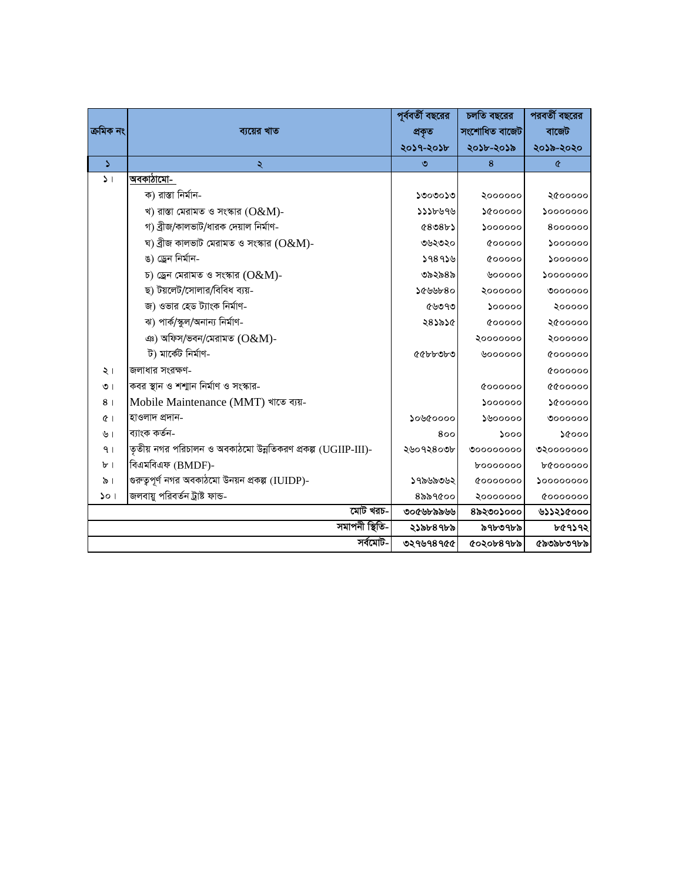|                |                                                               | পূর্ববর্তী বছরের | চলতি বছরের           | পরবর্তী বছরের          |
|----------------|---------------------------------------------------------------|------------------|----------------------|------------------------|
| ক্ৰমিক নং      | ব্যয়ের খাত                                                   | প্ৰকৃত           | সংশোধিত বাজেট        | বাজেট                  |
|                |                                                               | ২০১৭-২০১৮        | ২০১৮-২০১৯            | ২০১৯-২০২০              |
| $\mathcal{L}$  | ২                                                             | ৩                | 8                    | Q                      |
| $\mathbf{L}$   | অবকাঠামো-                                                     |                  |                      |                        |
|                | ক) রাস্তা নির্মান-                                            | ১৩০৩০১৩          | ২০০০০০০              | ২৫০০০০০                |
|                | খ) রাস্তা মেরামত ও সংস্কার $(O\&M)$ -                         | ১১১৮৬৭৬          | $\Omega$             | $\Omega$               |
|                | গ) ব্ৰীজ/কালভাট/ধারক দেয়াল নিৰ্মাণ-                          | (808b)           | $\mathcal{L}$ 000000 | 8000000                |
|                | ঘ) ব্ৰীজ কালভাট মেরামত ও সংস্কার $(\mathrm{O}\&\mathrm{M})$ - | ৩৬২৩২০           | 00000                | $\Omega$               |
|                | ঙ) ড্ৰেন নিৰ্মান-                                             | 598956           | $Q$ 00000            | $\mathcal{L}$ 000000   |
|                | চ) ড্রেন মেরামত ও সংস্কার $(O\&M)$ -                          | ৩৯২৯৪৯           | ৬০০০০                | $\mathcal{L}$ 0000000  |
|                | ছ) টয়লেট/সোলার/বিবিধ ব্যয়-                                  | ১৫৬৬৮৪০          | ২০০০০০০              | 0000000                |
|                | জ) ওভার হেড ট্যাংক নির্মাণ-                                   | ৫৬৩৭৩            | 500000               | ২০০০০০                 |
|                | ঝ) পাৰ্ক/স্কুল/অনান্য নিৰ্মাণ-                                | ২৪১৯১৫           | $Q$ 00000            | ২৫০০০০০                |
|                | ঞ) অফিস/ভবন/মেরামত $(O\&M)$ -                                 |                  | ২০০০০০০              | ২০০০০০০                |
|                | ট) মার্কেট নির্মাণ-                                           | cachad           | 0000000              | $Q$ 000000             |
| ২।             | জলাধার সংরক্ষণ-                                               |                  |                      | $Q$ 000000             |
| $\circ$        | কবর স্থান ও শশ্মান নির্মাণ ও সংস্কার-                         |                  | @000000              | 000000                 |
| 8 <sub>1</sub> | Mobile Maintenance (MMT) খাতে ব্যয়-                          |                  | $\mathcal{L}$ 000000 | $\Omega$ 00000         |
| $\alpha$       | হাওলাদ প্ৰদান-                                                | ১০৬৫০০০০         | ১৬০০০০০              | ৩০০০০০                 |
| ৬।             | ব্যাংক কৰ্তন-                                                 | 800              | 5000                 | ১৫০০০                  |
| 9 <sub>1</sub> | তৃতীয় নগর পরিচালন ও অবকাঠমো উন্নতিকরণ প্রকল্প (UGIIP-III)-   | ২৬০৭২৪০৩৮        | 000000000            | ৩২০০০০০০০              |
| b <sub>1</sub> | বিএমবিএফ (BMDF)-                                              |                  | 60000000             | 6000000                |
| $\delta$ ।     | গুরুত্বপূর্ণ নগর অবকাঠমো উনয়ন প্রকল্প (IUIDP)-               | ১৭৯৬৯৩৬২         | $Q$ 0000000          | $\mathcal{L}$ 00000000 |
| 501            | জলবায়ু পরিবর্তন ট্রাষ্ট ফান্ড-                               | ৪৯৯৭৫০০          | ২০০০০০০              | $Q$ 0000000            |
|                | মোট খরচ-                                                      | ৩০৫৬৮৯৯৬৬        | ৪৯২৩০১০০০            | ৩১১২১৫০০০              |
|                | সমাপনী স্থিতি-                                                | ২১৯৮৪৭৮৯         | ৯৭৮৩৭৮৯              | ৮৫৭১৭২                 |
|                | সৰ্বমোট-                                                      | ৩২৭৬৭৪৭৫৫        | ৫০২০৮৪৭৮৯            | ৫৯৩৯৮৩৭৮৯              |